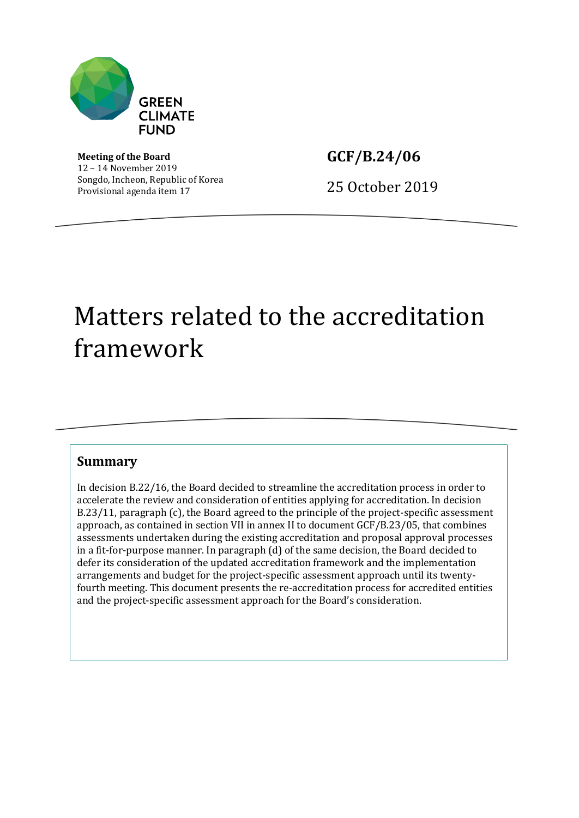

**Meeting of the Board** 12 – 14 November 2019 Songdo, Incheon, Republic of Korea Provisional agenda item 17

**GCF/B.24/06**

25 October 2019

# Matters related to the accreditation framework

### **Summary**

In decision B.22/16, the Board decided to streamline the accreditation process in order to accelerate the review and consideration of entities applying for accreditation. In decision B.23/11, paragraph (c), the Board agreed to the principle of the project-specific assessment approach, as contained in section VII in annex II to document GCF/B.23/05, that combines assessments undertaken during the existing accreditation and proposal approval processes in a fit-for-purpose manner. In paragraph (d) of the same decision, the Board decided to defer its consideration of the updated accreditation framework and the implementation arrangements and budget for the project-specific assessment approach until its twentyfourth meeting. This document presents the re-accreditation process for accredited entities and the project-specific assessment approach for the Board's consideration.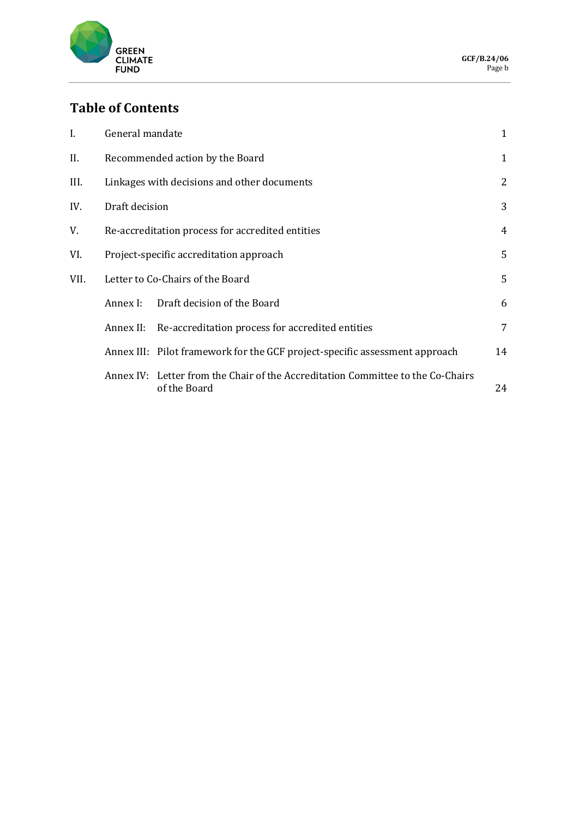

# **Table of Contents**

| I.   | General mandate                                  |                                                                                                 |    |
|------|--------------------------------------------------|-------------------------------------------------------------------------------------------------|----|
| II.  | Recommended action by the Board                  |                                                                                                 |    |
| III. | Linkages with decisions and other documents      |                                                                                                 |    |
| IV.  | Draft decision                                   |                                                                                                 |    |
| V.   | Re-accreditation process for accredited entities |                                                                                                 |    |
| VI.  | Project-specific accreditation approach          |                                                                                                 |    |
| VII. | Letter to Co-Chairs of the Board                 |                                                                                                 |    |
|      | Annex I:                                         | Draft decision of the Board                                                                     | 6  |
|      | Annex II:                                        | Re-accreditation process for accredited entities                                                | 7  |
|      |                                                  | Annex III: Pilot framework for the GCF project-specific assessment approach                     | 14 |
|      |                                                  | Annex IV: Letter from the Chair of the Accreditation Committee to the Co-Chairs<br>of the Board | 24 |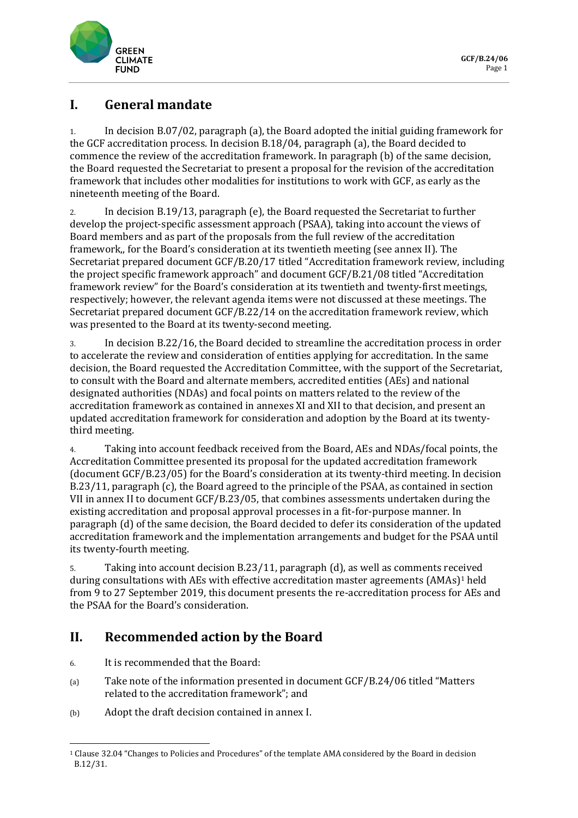

### **I. General mandate**

1. In decision B.07/02, paragraph (a), the Board adopted the initial guiding framework for the GCF accreditation process. In decision B.18/04, paragraph (a), the Board decided to commence the review of the accreditation framework. In paragraph (b) of the same decision, the Board requested the Secretariat to present a proposal for the revision of the accreditation framework that includes other modalities for institutions to work with GCF, as early as the nineteenth meeting of the Board.

2. In decision B.19/13, paragraph (e), the Board requested the Secretariat to further develop the project-specific assessment approach (PSAA), taking into account the views of Board members and as part of the proposals from the full review of the accreditation framework,, for the Board's consideration at its twentieth meeting (see annex II). The Secretariat prepared document GCF/B.20/17 titled "Accreditation framework review, including the project specific framework approach" and document GCF/B.21/08 titled "Accreditation framework review" for the Board's consideration at its twentieth and twenty-first meetings, respectively; however, the relevant agenda items were not discussed at these meetings. The Secretariat prepared document GCF/B.22/14 on the accreditation framework review, which was presented to the Board at its twenty-second meeting.

3. In decision B.22/16, the Board decided to streamline the accreditation process in order to accelerate the review and consideration of entities applying for accreditation. In the same decision, the Board requested the Accreditation Committee, with the support of the Secretariat, to consult with the Board and alternate members, accredited entities (AEs) and national designated authorities (NDAs) and focal points on matters related to the review of the accreditation framework as contained in annexes XI and XII to that decision, and present an updated accreditation framework for consideration and adoption by the Board at its twentythird meeting.

4. Taking into account feedback received from the Board, AEs and NDAs/focal points, the Accreditation Committee presented its proposal for the updated accreditation framework (document GCF/B.23/05) for the Board's consideration at its twenty-third meeting. In decision B.23/11, paragraph (c), the Board agreed to the principle of the PSAA, as contained in section VII in annex II to document GCF/B.23/05, that combines assessments undertaken during the existing accreditation and proposal approval processes in a fit-for-purpose manner. In paragraph (d) of the same decision, the Board decided to defer its consideration of the updated accreditation framework and the implementation arrangements and budget for the PSAA until its twenty-fourth meeting.

5. Taking into account decision B.23/11, paragraph (d), as well as comments received during consultations with AEs with effective accreditation master agreements (AMAs)<sup>1</sup> held from 9 to 27 September 2019, this document presents the re-accreditation process for AEs and the PSAA for the Board's consideration.

## **II. Recommended action by the Board**

- 6. It is recommended that the Board:
- (a) Take note of the information presented in document GCF/B.24/06 titled "Matters related to the accreditation framework"; and
- (b) Adopt the draft decision contained in annex I.

<sup>1</sup> Clause 32.04 "Changes to Policies and Procedures" of the template AMA considered by the Board in decision B.12/31.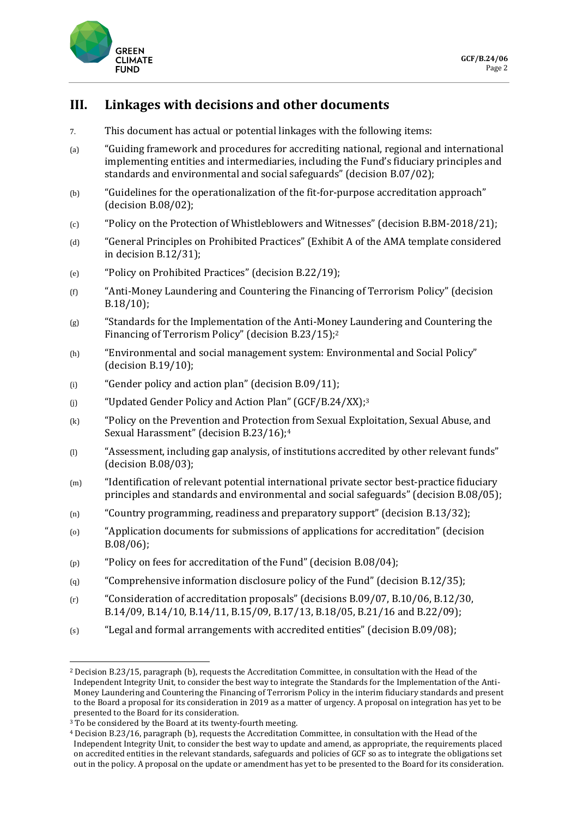

### **III. Linkages with decisions and other documents**

- 7. This document has actual or potential linkages with the following items:
- (a) "Guiding framework and procedures for accrediting national, regional and international implementing entities and intermediaries, including the Fund's fiduciary principles and standards and environmental and social safeguards" (decision B.07/02);
- (b) "Guidelines for the operationalization of the fit-for-purpose accreditation approach" (decision B.08/02);
- (c) "Policy on the Protection of Whistleblowers and Witnesses" (decision B.BM-2018/21);
- (d) "General Principles on Prohibited Practices" (Exhibit A of the AMA template considered in decision B.12/31);
- (e) "Policy on Prohibited Practices" (decision B.22/19);
- (f) "Anti-Money Laundering and Countering the Financing of Terrorism Policy" (decision B.18/10);
- (g) "Standards for the Implementation of the Anti-Money Laundering and Countering the Financing of Terrorism Policy" (decision B.23/15);<sup>2</sup>
- (h) "Environmental and social management system: Environmental and Social Policy" (decision B.19/10);
- $(i)$  "Gender policy and action plan" (decision B.09/11);
- (j) "Updated Gender Policy and Action Plan" (GCF/B.24/XX);<sup>3</sup>
- (k) "Policy on the Prevention and Protection from Sexual Exploitation, Sexual Abuse, and Sexual Harassment" (decision B.23/16);<sup>4</sup>
- (l) "Assessment, including gap analysis, of institutions accredited by other relevant funds" (decision B.08/03);
- (m) "Identification of relevant potential international private sector best-practice fiduciary principles and standards and environmental and social safeguards" (decision B.08/05);
- (n) "Country programming, readiness and preparatory support" (decision B.13/32);
- (o) "Application documents for submissions of applications for accreditation" (decision B.08/06);
- (p) "Policy on fees for accreditation of the Fund" (decision B.08/04);
- (q) "Comprehensive information disclosure policy of the Fund" (decision B.12/35);
- (r) "Consideration of accreditation proposals" (decisions B.09/07, B.10/06, B.12/30, B.14/09, B.14/10, B.14/11, B.15/09, B.17/13, B.18/05, B.21/16 and B.22/09);
- (s) "Legal and formal arrangements with accredited entities" (decision B.09/08);

<sup>2</sup> Decision B.23/15, paragraph (b), requests the Accreditation Committee, in consultation with the Head of the Independent Integrity Unit, to consider the best way to integrate the Standards for the Implementation of the Anti-Money Laundering and Countering the Financing of Terrorism Policy in the interim fiduciary standards and present to the Board a proposal for its consideration in 2019 as a matter of urgency. A proposal on integration has yet to be presented to the Board for its consideration.

<sup>&</sup>lt;sup>3</sup> To be considered by the Board at its twenty-fourth meeting.

<sup>4</sup> Decision B.23/16, paragraph (b), requests the Accreditation Committee, in consultation with the Head of the Independent Integrity Unit, to consider the best way to update and amend, as appropriate, the requirements placed on accredited entities in the relevant standards, safeguards and policies of GCF so as to integrate the obligations set out in the policy. A proposal on the update or amendment has yet to be presented to the Board for its consideration.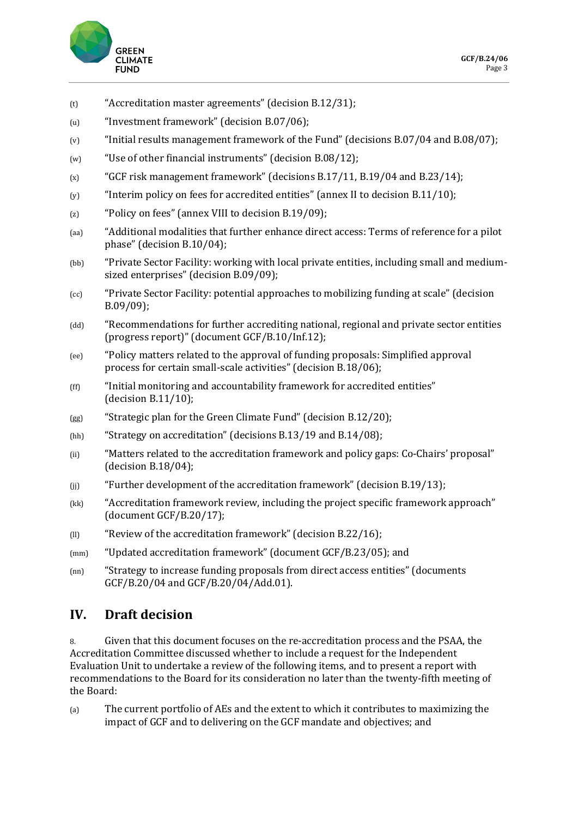

- (t) "Accreditation master agreements" (decision B.12/31);
- (u) "Investment framework" (decision B.07/06);
- (v) "Initial results management framework of the Fund" (decisions B.07/04 and B.08/07);
- (w) "Use of other financial instruments" (decision B.08/12);
- $(x)$  "GCF risk management framework" (decisions B.17/11, B.19/04 and B.23/14);
- (y) "Interim policy on fees for accredited entities" (annex II to decision B.11/10);
- (z) "Policy on fees" (annex VIII to decision B.19/09);
- (aa) "Additional modalities that further enhance direct access: Terms of reference for a pilot phase" (decision B.10/04);
- (bb) "Private Sector Facility: working with local private entities, including small and mediumsized enterprises" (decision B.09/09);
- (cc) "Private Sector Facility: potential approaches to mobilizing funding at scale" (decision B.09/09);
- (dd) "Recommendations for further accrediting national, regional and private sector entities (progress report)" (document GCF/B.10/Inf.12);
- (ee) "Policy matters related to the approval of funding proposals: Simplified approval process for certain small-scale activities" (decision B.18/06);
- (ff) "Initial monitoring and accountability framework for accredited entities" (decision B.11/10);
- (gg) "Strategic plan for the Green Climate Fund" (decision B.12/20);
- (hh) "Strategy on accreditation" (decisions B.13/19 and B.14/08);
- (ii) "Matters related to the accreditation framework and policy gaps: Co-Chairs' proposal" (decision B.18/04);
- $(i)$  "Further development of the accreditation framework" (decision B.19/13);
- (kk) "Accreditation framework review, including the project specific framework approach" (document GCF/B.20/17);
- (ll) "Review of the accreditation framework" (decision B.22/16);
- (mm) "Updated accreditation framework" (document GCF/B.23/05); and
- (nn) "Strategy to increase funding proposals from direct access entities" (documents GCF/B.20/04 and GCF/B.20/04/Add.01).

### **IV. Draft decision**

8. Given that this document focuses on the re-accreditation process and the PSAA, the Accreditation Committee discussed whether to include a request for the Independent Evaluation Unit to undertake a review of the following items, and to present a report with recommendations to the Board for its consideration no later than the twenty-fifth meeting of the Board:

(a) The current portfolio of AEs and the extent to which it contributes to maximizing the impact of GCF and to delivering on the GCF mandate and objectives; and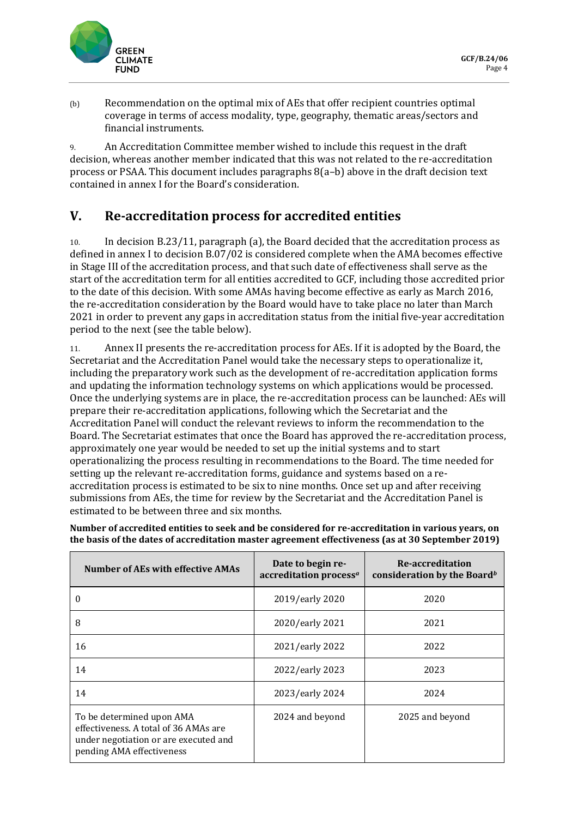

(b) Recommendation on the optimal mix of AEs that offer recipient countries optimal coverage in terms of access modality, type, geography, thematic areas/sectors and financial instruments.

9. An Accreditation Committee member wished to include this request in the draft decision, whereas another member indicated that this was not related to the re-accreditation process or PSAA. This document includes paragraphs 8(a–b) above in the draft decision text contained in annex I for the Board's consideration.

### **V. Re-accreditation process for accredited entities**

10. In decision B.23/11, paragraph (a), the Board decided that the accreditation process as defined in annex I to decision B.07/02 is considered complete when the AMA becomes effective in Stage III of the accreditation process, and that such date of effectiveness shall serve as the start of the accreditation term for all entities accredited to GCF, including those accredited prior to the date of this decision. With some AMAs having become effective as early as March 2016, the re-accreditation consideration by the Board would have to take place no later than March 2021 in order to prevent any gaps in accreditation status from the initial five-year accreditation period to the next (see the table below).

11. Annex II presents the re-accreditation process for AEs. If it is adopted by the Board, the Secretariat and the Accreditation Panel would take the necessary steps to operationalize it, including the preparatory work such as the development of re-accreditation application forms and updating the information technology systems on which applications would be processed. Once the underlying systems are in place, the re-accreditation process can be launched: AEs will prepare their re-accreditation applications, following which the Secretariat and the Accreditation Panel will conduct the relevant reviews to inform the recommendation to the Board. The Secretariat estimates that once the Board has approved the re-accreditation process, approximately one year would be needed to set up the initial systems and to start operationalizing the process resulting in recommendations to the Board. The time needed for setting up the relevant re-accreditation forms, guidance and systems based on a reaccreditation process is estimated to be six to nine months. Once set up and after receiving submissions from AEs, the time for review by the Secretariat and the Accreditation Panel is estimated to be between three and six months.

| Number of AEs with effective AMAs                                                                                                        | Date to begin re-<br>accreditation process <sup>a</sup> | Re-accreditation<br>consideration by the Board <sup>b</sup> |
|------------------------------------------------------------------------------------------------------------------------------------------|---------------------------------------------------------|-------------------------------------------------------------|
| 0                                                                                                                                        | 2019/early 2020                                         | 2020                                                        |
| 8                                                                                                                                        | 2020/early 2021                                         | 2021                                                        |
| 16                                                                                                                                       | 2021/early 2022                                         | 2022                                                        |
| 14                                                                                                                                       | 2022/early 2023                                         | 2023                                                        |
| 14                                                                                                                                       | 2023/early 2024                                         | 2024                                                        |
| To be determined upon AMA<br>effectiveness. A total of 36 AMAs are<br>under negotiation or are executed and<br>pending AMA effectiveness | 2024 and beyond                                         | 2025 and beyond                                             |

**Number of accredited entities to seek and be considered for re-accreditation in various years, on the basis of the dates of accreditation master agreement effectiveness (as at 30 September 2019)**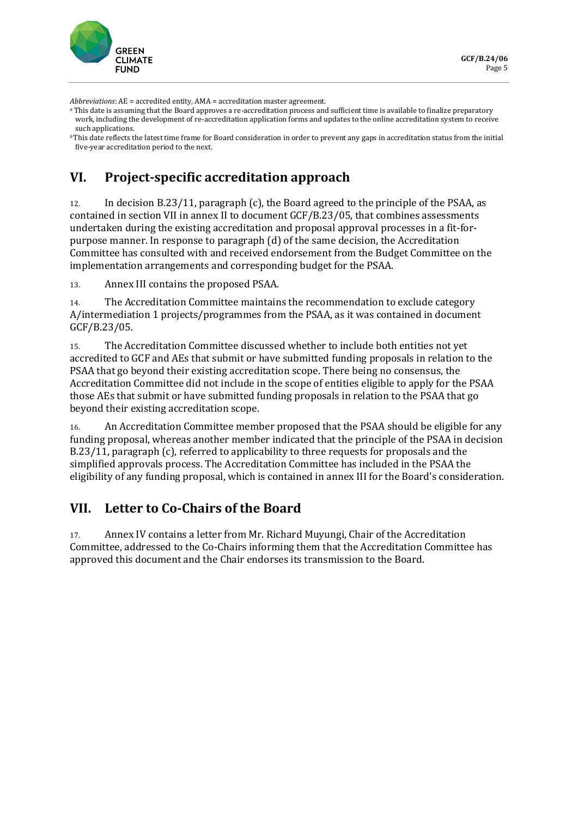

*Abbreviations*: AE = accredited entity, AMA = accreditation master agreement.

*<sup>a</sup>* This date is assuming that the Board approves a re-accreditation process and sufficient time is available to finalize preparatory work, including the development of re-accreditation application forms and updates to the online accreditation system to receive such applications.

*<sup>b</sup>*This date reflects the latest time frame for Board consideration in order to prevent any gaps in accreditation status from the initial five-year accreditation period to the next.

## **VI. Project-specific accreditation approach**

12. In decision B.23/11, paragraph (c), the Board agreed to the principle of the PSAA, as contained in section VII in annex II to document GCF/B.23/05, that combines assessments undertaken during the existing accreditation and proposal approval processes in a fit-forpurpose manner. In response to paragraph (d) of the same decision, the Accreditation Committee has consulted with and received endorsement from the Budget Committee on the implementation arrangements and corresponding budget for the PSAA.

13. Annex III contains the proposed PSAA.

14. The Accreditation Committee maintains the recommendation to exclude category A/intermediation 1 projects/programmes from the PSAA, as it was contained in document GCF/B.23/05.

15. The Accreditation Committee discussed whether to include both entities not yet accredited to GCF and AEs that submit or have submitted funding proposals in relation to the PSAA that go beyond their existing accreditation scope. There being no consensus, the Accreditation Committee did not include in the scope of entities eligible to apply for the PSAA those AEs that submit or have submitted funding proposals in relation to the PSAA that go beyond their existing accreditation scope.

16. An Accreditation Committee member proposed that the PSAA should be eligible for any funding proposal, whereas another member indicated that the principle of the PSAA in decision B.23/11, paragraph (c), referred to applicability to three requests for proposals and the simplified approvals process. The Accreditation Committee has included in the PSAA the eligibility of any funding proposal, which is contained in annex III for the Board's consideration.

### **VII. Letter to Co-Chairs of the Board**

17. Annex IV contains a letter from Mr. Richard Muyungi, Chair of the Accreditation Committee, addressed to the Co-Chairs informing them that the Accreditation Committee has approved this document and the Chair endorses its transmission to the Board.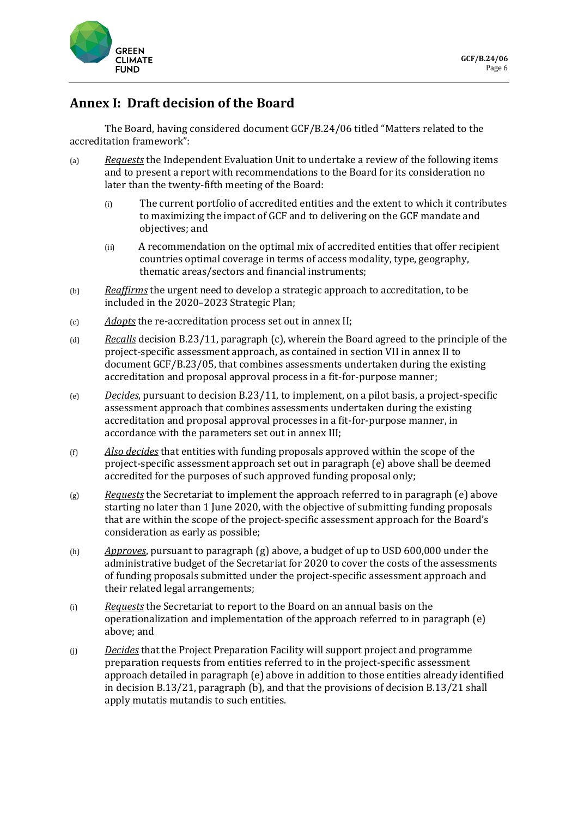

### **Annex I: Draft decision of the Board**

The Board, having considered document GCF/B.24/06 titled "Matters related to the accreditation framework":

- (a) *Requests* the Independent Evaluation Unit to undertake a review of the following items and to present a report with recommendations to the Board for its consideration no later than the twenty-fifth meeting of the Board:
	- (i) The current portfolio of accredited entities and the extent to which it contributes to maximizing the impact of GCF and to delivering on the GCF mandate and objectives; and
	- (ii) A recommendation on the optimal mix of accredited entities that offer recipient countries optimal coverage in terms of access modality, type, geography, thematic areas/sectors and financial instruments;
- (b) *Reaffirms* the urgent need to develop a strategic approach to accreditation, to be included in the 2020–2023 Strategic Plan;
- (c) *Adopts* the re-accreditation process set out in annex II;
- (d) *Recalls* decision B.23/11, paragraph (c), wherein the Board agreed to the principle of the project-specific assessment approach, as contained in section VII in annex II to document GCF/B.23/05, that combines assessments undertaken during the existing accreditation and proposal approval process in a fit-for-purpose manner;
- (e) *Decides*, pursuant to decision B.23/11, to implement, on a pilot basis, a project-specific assessment approach that combines assessments undertaken during the existing accreditation and proposal approval processes in a fit-for-purpose manner, in accordance with the parameters set out in annex III;
- (f) *Also decides* that entities with funding proposals approved within the scope of the project-specific assessment approach set out in paragraph (e) above shall be deemed accredited for the purposes of such approved funding proposal only;
- (g) *Requests* the Secretariat to implement the approach referred to in paragraph (e) above starting no later than 1 June 2020, with the objective of submitting funding proposals that are within the scope of the project-specific assessment approach for the Board's consideration as early as possible;
- (h) *Approves*, pursuant to paragraph (g) above, a budget of up to USD 600,000 under the administrative budget of the Secretariat for 2020 to cover the costs of the assessments of funding proposals submitted under the project-specific assessment approach and their related legal arrangements;
- (i) *Requests* the Secretariat to report to the Board on an annual basis on the operationalization and implementation of the approach referred to in paragraph (e) above; and
- (j) *Decides* that the Project Preparation Facility will support project and programme preparation requests from entities referred to in the project-specific assessment approach detailed in paragraph (e) above in addition to those entities already identified in decision B.13/21, paragraph (b), and that the provisions of decision B.13/21 shall apply mutatis mutandis to such entities.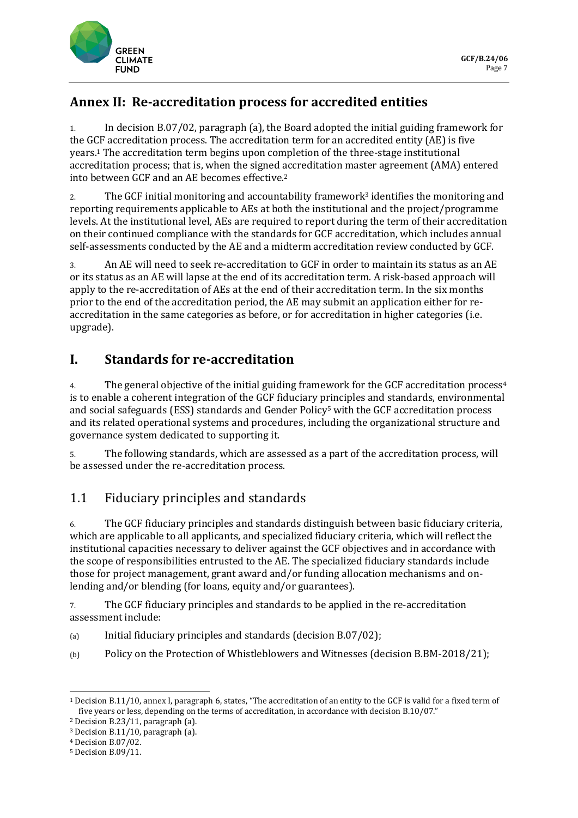

# **Annex II: Re-accreditation process for accredited entities**

1. In decision B.07/02, paragraph (a), the Board adopted the initial guiding framework for the GCF accreditation process. The accreditation term for an accredited entity (AE) is five years.<sup>1</sup> The accreditation term begins upon completion of the three-stage institutional accreditation process; that is, when the signed accreditation master agreement (AMA) entered into between GCF and an AE becomes effective. 2

2. The GCF initial monitoring and accountability framework<sup>3</sup> identifies the monitoring and reporting requirements applicable to AEs at both the institutional and the project/programme levels. At the institutional level, AEs are required to report during the term of their accreditation on their continued compliance with the standards for GCF accreditation, which includes annual self-assessments conducted by the AE and a midterm accreditation review conducted by GCF.

3. An AE will need to seek re-accreditation to GCF in order to maintain its status as an AE or its status as an AE will lapse at the end of its accreditation term. A risk-based approach will apply to the re-accreditation of AEs at the end of their accreditation term. In the six months prior to the end of the accreditation period, the AE may submit an application either for reaccreditation in the same categories as before, or for accreditation in higher categories (i.e. upgrade).

# **I. Standards for re-accreditation**

4. The general objective of the initial guiding framework for the GCF accreditation process<sup>4</sup> is to enable a coherent integration of the GCF fiduciary principles and standards, environmental and social safeguards (ESS) standards and Gender Policy<sup>5</sup> with the GCF accreditation process and its related operational systems and procedures, including the organizational structure and governance system dedicated to supporting it.

5. The following standards, which are assessed as a part of the accreditation process, will be assessed under the re-accreditation process.

# 1.1 Fiduciary principles and standards

6. The GCF fiduciary principles and standards distinguish between basic fiduciary criteria, which are applicable to all applicants, and specialized fiduciary criteria, which will reflect the institutional capacities necessary to deliver against the GCF objectives and in accordance with the scope of responsibilities entrusted to the AE. The specialized fiduciary standards include those for project management, grant award and/or funding allocation mechanisms and onlending and/or blending (for loans, equity and/or guarantees).

7. The GCF fiduciary principles and standards to be applied in the re-accreditation assessment include:

- (a) Initial fiduciary principles and standards (decision B.07/02);
- (b) Policy on the Protection of Whistleblowers and Witnesses (decision B.BM-2018/21);

<sup>1</sup> Decision B.11/10, annex I, paragraph 6, states, "The accreditation of an entity to the GCF is valid for a fixed term of five years or less, depending on the terms of accreditation, in accordance with decision B.10/07."

<sup>2</sup> Decision B.23/11, paragraph (a).

<sup>3</sup> Decision B.11/10, paragraph (a).

<sup>4</sup> Decision B.07/02.

<sup>5</sup> Decision B.09/11.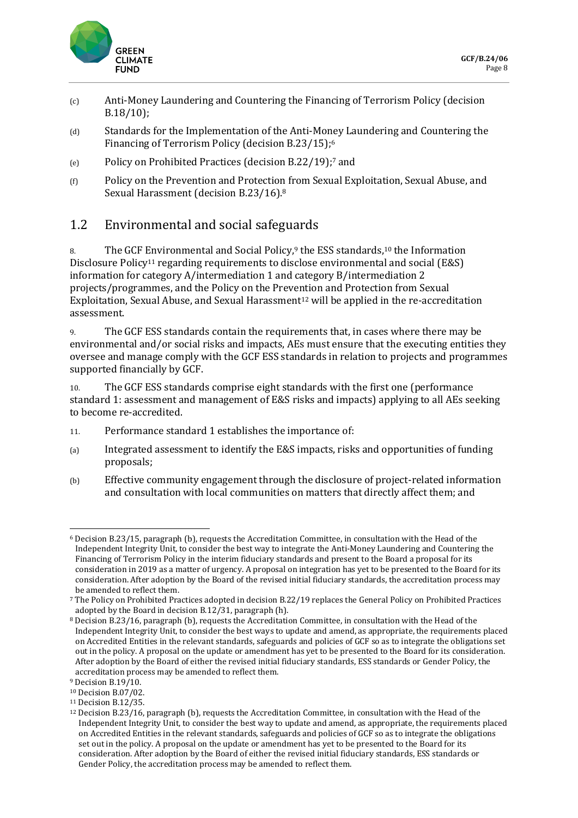

- (c) Anti-Money Laundering and Countering the Financing of Terrorism Policy (decision B.18/10);
- (d) Standards for the Implementation of the Anti-Money Laundering and Countering the Financing of Terrorism Policy (decision B.23/15); 6
- (e) Policy on Prohibited Practices (decision B.22/19);<sup>7</sup> and
- (f) Policy on the Prevention and Protection from Sexual Exploitation, Sexual Abuse, and Sexual Harassment (decision B.23/16). 8

### 1.2 Environmental and social safeguards

8. The GCF Environmental and Social Policy,<sup>9</sup> the ESS standards,<sup>10</sup> the Information Disclosure Policy<sup>11</sup> regarding requirements to disclose environmental and social (E&S) information for category A/intermediation 1 and category B/intermediation 2 projects/programmes, and the Policy on the Prevention and Protection from Sexual Exploitation, Sexual Abuse, and Sexual Harassment<sup>12</sup> will be applied in the re-accreditation assessment.

9. The GCF ESS standards contain the requirements that, in cases where there may be environmental and/or social risks and impacts, AEs must ensure that the executing entities they oversee and manage comply with the GCF ESS standards in relation to projects and programmes supported financially by GCF.

10. The GCF ESS standards comprise eight standards with the first one (performance standard 1: assessment and management of E&S risks and impacts) applying to all AEs seeking to become re-accredited.

- 11. Performance standard 1 establishes the importance of:
- (a) Integrated assessment to identify the E&S impacts, risks and opportunities of funding proposals;
- (b) Effective community engagement through the disclosure of project-related information and consultation with local communities on matters that directly affect them; and

<sup>6</sup> Decision B.23/15, paragraph (b), requests the Accreditation Committee, in consultation with the Head of the Independent Integrity Unit, to consider the best way to integrate the Anti-Money Laundering and Countering the Financing of Terrorism Policy in the interim fiduciary standards and present to the Board a proposal for its consideration in 2019 as a matter of urgency. A proposal on integration has yet to be presented to the Board for its consideration. After adoption by the Board of the revised initial fiduciary standards, the accreditation process may be amended to reflect them.

<sup>7</sup> The Policy on Prohibited Practices adopted in decision B.22/19 replaces the General Policy on Prohibited Practices adopted by the Board in decision B.12/31, paragraph (h).

<sup>8</sup> Decision B.23/16, paragraph (b), requests the Accreditation Committee, in consultation with the Head of the Independent Integrity Unit, to consider the best ways to update and amend, as appropriate, the requirements placed on Accredited Entities in the relevant standards, safeguards and policies of GCF so as to integrate the obligations set out in the policy. A proposal on the update or amendment has yet to be presented to the Board for its consideration. After adoption by the Board of either the revised initial fiduciary standards, ESS standards or Gender Policy, the accreditation process may be amended to reflect them.

<sup>9</sup> Decision B.19/10.

<sup>10</sup> Decision B.07/02.

<sup>11</sup> Decision B.12/35.

<sup>12</sup> Decision B.23/16, paragraph (b), requests the Accreditation Committee, in consultation with the Head of the Independent Integrity Unit, to consider the best way to update and amend, as appropriate, the requirements placed on Accredited Entities in the relevant standards, safeguards and policies of GCF so as to integrate the obligations set out in the policy. A proposal on the update or amendment has yet to be presented to the Board for its consideration. After adoption by the Board of either the revised initial fiduciary standards, ESS standards or Gender Policy, the accreditation process may be amended to reflect them.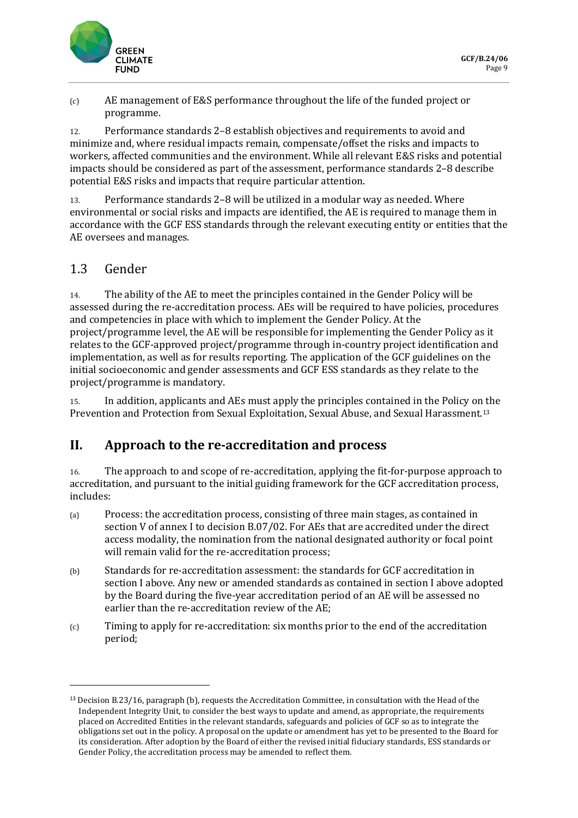

(c) AE management of E&S performance throughout the life of the funded project or programme.

12. Performance standards 2–8 establish objectives and requirements to avoid and minimize and, where residual impacts remain, compensate/offset the risks and impacts to workers, affected communities and the environment. While all relevant E&S risks and potential impacts should be considered as part of the assessment, performance standards 2–8 describe potential E&S risks and impacts that require particular attention.

13. Performance standards 2–8 will be utilized in a modular way as needed. Where environmental or social risks and impacts are identified, the AE is required to manage them in accordance with the GCF ESS standards through the relevant executing entity or entities that the AE oversees and manages.

### 1.3 Gender

14. The ability of the AE to meet the principles contained in the Gender Policy will be assessed during the re-accreditation process. AEs will be required to have policies, procedures and competencies in place with which to implement the Gender Policy. At the project/programme level, the AE will be responsible for implementing the Gender Policy as it relates to the GCF-approved project/programme through in-country project identification and implementation, as well as for results reporting. The application of the GCF guidelines on the initial socioeconomic and gender assessments and GCF ESS standards as they relate to the project/programme is mandatory.

15. In addition, applicants and AEs must apply the principles contained in the Policy on the Prevention and Protection from Sexual Exploitation, Sexual Abuse, and Sexual Harassment.<sup>13</sup>

## **II. Approach to the re-accreditation and process**

16. The approach to and scope of re-accreditation, applying the fit-for-purpose approach to accreditation, and pursuant to the initial guiding framework for the GCF accreditation process, includes:

- (a) Process: the accreditation process, consisting of three main stages, as contained in section V of annex I to decision B.07/02. For AEs that are accredited under the direct access modality, the nomination from the national designated authority or focal point will remain valid for the re-accreditation process;
- (b) Standards for re-accreditation assessment: the standards for GCF accreditation in section I above. Any new or amended standards as contained in section I above adopted by the Board during the five-year accreditation period of an AE will be assessed no earlier than the re-accreditation review of the AE;
- (c) Timing to apply for re-accreditation: six months prior to the end of the accreditation period;

<sup>13</sup> Decision B.23/16, paragraph (b), requests the Accreditation Committee, in consultation with the Head of the Independent Integrity Unit, to consider the best ways to update and amend, as appropriate, the requirements placed on Accredited Entities in the relevant standards, safeguards and policies of GCF so as to integrate the obligations set out in the policy. A proposal on the update or amendment has yet to be presented to the Board for its consideration. After adoption by the Board of either the revised initial fiduciary standards, ESS standards or Gender Policy, the accreditation process may be amended to reflect them.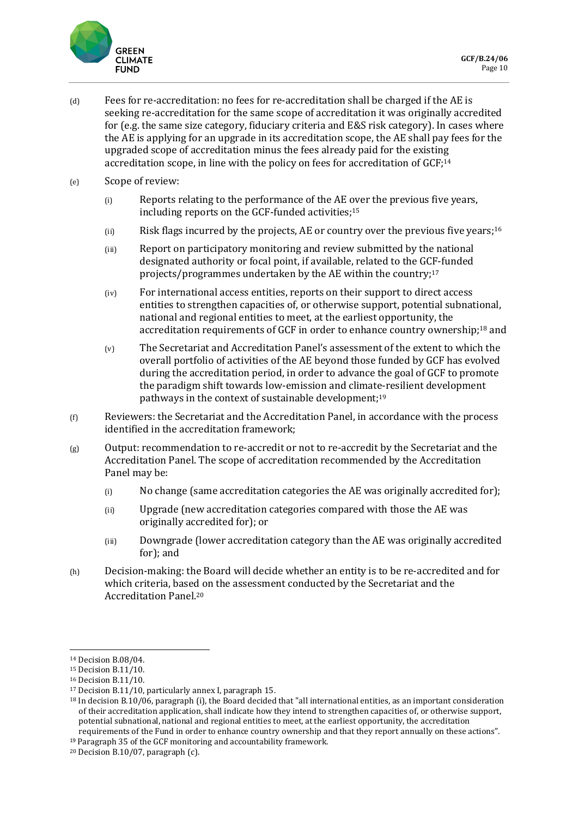

- (d) Fees for re-accreditation: no fees for re-accreditation shall be charged if the AE is seeking re-accreditation for the same scope of accreditation it was originally accredited for (e.g. the same size category, fiduciary criteria and E&S risk category). In cases where the AE is applying for an upgrade in its accreditation scope, the AE shall pay fees for the upgraded scope of accreditation minus the fees already paid for the existing accreditation scope, in line with the policy on fees for accreditation of GCF; 14
- (e) Scope of review:
	- (i) Reports relating to the performance of the AE over the previous five years, including reports on the GCF-funded activities;<sup>15</sup>
	- $(i)$  Risk flags incurred by the projects, AE or country over the previous five years;<sup>16</sup>
	- (iii) Report on participatory monitoring and review submitted by the national designated authority or focal point, if available, related to the GCF-funded projects/programmes undertaken by the AE within the country; 17
	- (iv) For international access entities, reports on their support to direct access entities to strengthen capacities of, or otherwise support, potential subnational, national and regional entities to meet, at the earliest opportunity, the accreditation requirements of GCF in order to enhance country ownership;<sup>18</sup> and
	- (v) The Secretariat and Accreditation Panel's assessment of the extent to which the overall portfolio of activities of the AE beyond those funded by GCF has evolved during the accreditation period, in order to advance the goal of GCF to promote the paradigm shift towards low-emission and climate-resilient development pathways in the context of sustainable development; 19
- (f) Reviewers: the Secretariat and the Accreditation Panel, in accordance with the process identified in the accreditation framework;
- $(g)$  Output: recommendation to re-accredit or not to re-accredit by the Secretariat and the Accreditation Panel. The scope of accreditation recommended by the Accreditation Panel may be:
	- (i) No change (same accreditation categories the AE was originally accredited for);
	- (ii) Upgrade (new accreditation categories compared with those the AE was originally accredited for); or
	- (iii) Downgrade (lower accreditation category than the AE was originally accredited for); and
- (h) Decision-making: the Board will decide whether an entity is to be re-accredited and for which criteria, based on the assessment conducted by the Secretariat and the Accreditation Panel. 20

<sup>14</sup> Decision B.08/04.

<sup>15</sup> Decision B.11/10.

<sup>16</sup> Decision B.11/10.

<sup>17</sup> Decision B.11/10, particularly annex I, paragraph 15.

<sup>18</sup> In decision B.10/06, paragraph (i), the Board decided that "all international entities, as an important consideration of their accreditation application, shall indicate how they intend to strengthen capacities of, or otherwise support, potential subnational, national and regional entities to meet, at the earliest opportunity, the accreditation requirements of the Fund in order to enhance country ownership and that they report annually on these actions".

<sup>19</sup> Paragraph 35 of the GCF monitoring and accountability framework.

 $20$  Decision B.10/07, paragraph (c).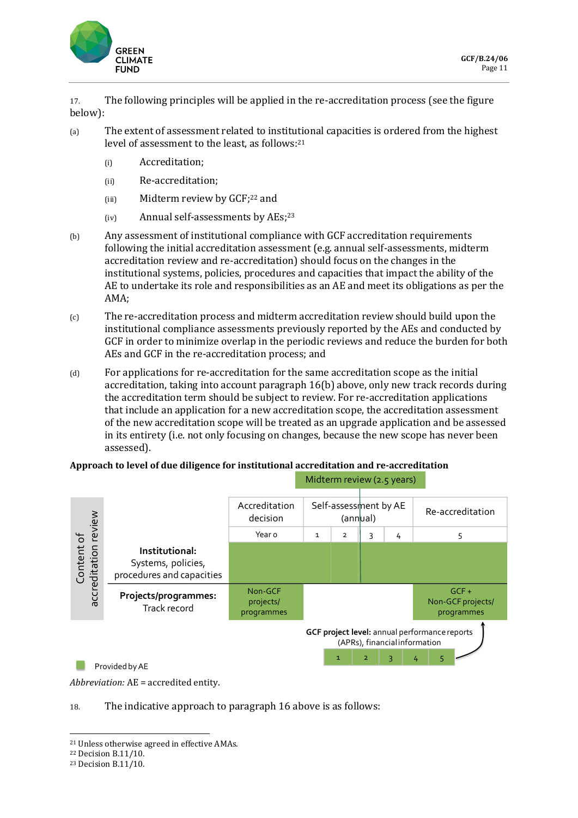

17. The following principles will be applied in the re-accreditation process (see the figure below):

- (a) The extent of assessment related to institutional capacities is ordered from the highest level of assessment to the least, as follows:<sup>21</sup>
	- (i) Accreditation;
	- (ii) Re-accreditation;
	- (iii) Midterm review by GCF;<sup>22</sup> and
	- (iv) Annual self-assessments by AEs;<sup>23</sup>
- (b) Any assessment of institutional compliance with GCF accreditation requirements following the initial accreditation assessment (e.g. annual self-assessments, midterm accreditation review and re-accreditation) should focus on the changes in the institutional systems, policies, procedures and capacities that impact the ability of the AE to undertake its role and responsibilities as an AE and meet its obligations as per the AMA;
- (c) The re-accreditation process and midterm accreditation review should build upon the institutional compliance assessments previously reported by the AEs and conducted by GCF in order to minimize overlap in the periodic reviews and reduce the burden for both AEs and GCF in the re-accreditation process; and
- (d) For applications for re-accreditation for the same accreditation scope as the initial accreditation, taking into account paragraph 16(b) above, only new track records during the accreditation term should be subject to review. For re-accreditation applications that include an application for a new accreditation scope, the accreditation assessment of the new accreditation scope will be treated as an upgrade application and be assessed in its entirety (i.e. not only focusing on changes, because the new scope has never been assessed).

#### **Approach to level of due diligence for institutional accreditation and re-accreditation**



*Abbreviation:* AE = accredited entity.

#### 18. The indicative approach to paragraph 16 above is as follows:

<sup>22</sup> Decision B.11/10.

<sup>21</sup> Unless otherwise agreed in effective AMAs.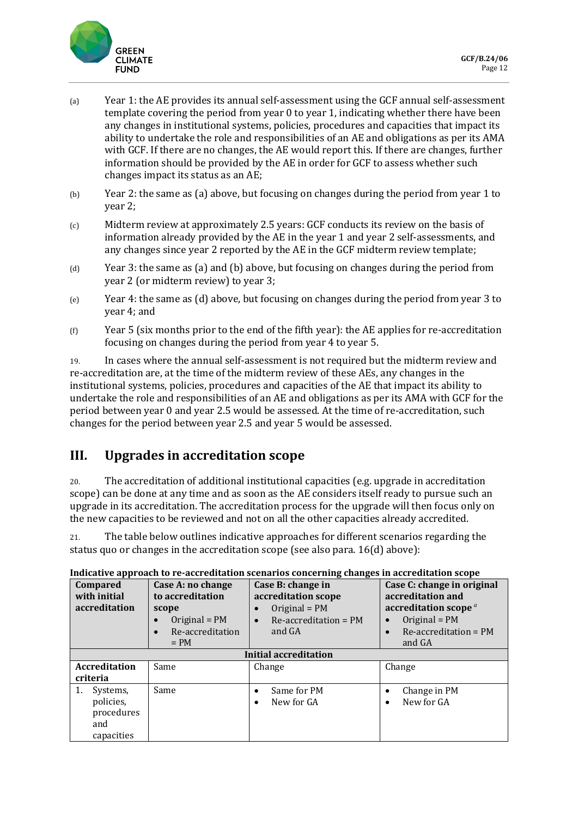

- (a) Year 1: the AE provides its annual self-assessment using the GCF annual self-assessment template covering the period from year 0 to year 1, indicating whether there have been any changes in institutional systems, policies, procedures and capacities that impact its ability to undertake the role and responsibilities of an AE and obligations as per its AMA with GCF. If there are no changes, the AE would report this. If there are changes, further information should be provided by the AE in order for GCF to assess whether such changes impact its status as an AE;
- (b) Year 2: the same as (a) above, but focusing on changes during the period from year 1 to year 2;
- (c) Midterm review at approximately 2.5 years: GCF conducts its review on the basis of information already provided by the AE in the year 1 and year 2 self-assessments, and any changes since year 2 reported by the AE in the GCF midterm review template;
- (d) Year 3: the same as (a) and (b) above, but focusing on changes during the period from year 2 (or midterm review) to year 3;
- (e) Year 4: the same as (d) above, but focusing on changes during the period from year 3 to year 4; and
- $(f)$  Year 5 (six months prior to the end of the fifth year): the AE applies for re-accreditation focusing on changes during the period from year 4 to year 5.

19. In cases where the annual self-assessment is not required but the midterm review and re-accreditation are, at the time of the midterm review of these AEs, any changes in the institutional systems, policies, procedures and capacities of the AE that impact its ability to undertake the role and responsibilities of an AE and obligations as per its AMA with GCF for the period between year 0 and year 2.5 would be assessed. At the time of re-accreditation, such changes for the period between year 2.5 and year 5 would be assessed.

## **III. Upgrades in accreditation scope**

20. The accreditation of additional institutional capacities (e.g. upgrade in accreditation scope) can be done at any time and as soon as the AE considers itself ready to pursue such an upgrade in its accreditation. The accreditation process for the upgrade will then focus only on the new capacities to be reviewed and not on all the other capacities already accredited.

21. The table below outlines indicative approaches for different scenarios regarding the status quo or changes in the accreditation scope (see also para. 16(d) above):

| <b>Compared</b><br>with initial<br>accreditation               | Case A: no change<br>to accreditation<br>scope<br>Original = $PM$<br>Re-accreditation<br>$= PM$ | Case B: change in<br>accreditation scope<br>Original = $PM$<br>$Re\text{-}accreditation = PM$<br>$\bullet$<br>and GA | Case C: change in original<br>accreditation and<br>accreditation scope <sup><i>a</i></sup><br>Original = $PM$<br>$Re$ -accreditation = PM<br>$\bullet$<br>and GA |  |  |  |
|----------------------------------------------------------------|-------------------------------------------------------------------------------------------------|----------------------------------------------------------------------------------------------------------------------|------------------------------------------------------------------------------------------------------------------------------------------------------------------|--|--|--|
| <b>Initial accreditation</b>                                   |                                                                                                 |                                                                                                                      |                                                                                                                                                                  |  |  |  |
| <b>Accreditation</b><br>criteria                               | Same                                                                                            | Change                                                                                                               | Change                                                                                                                                                           |  |  |  |
| 1.<br>Systems,<br>policies,<br>procedures<br>and<br>capacities | Same                                                                                            | Same for PM<br>$\bullet$<br>New for GA<br>$\bullet$                                                                  | Change in PM<br>٠<br>New for GA<br>$\bullet$                                                                                                                     |  |  |  |

#### **Indicative approach to re-accreditation scenarios concerning changes in accreditation scope**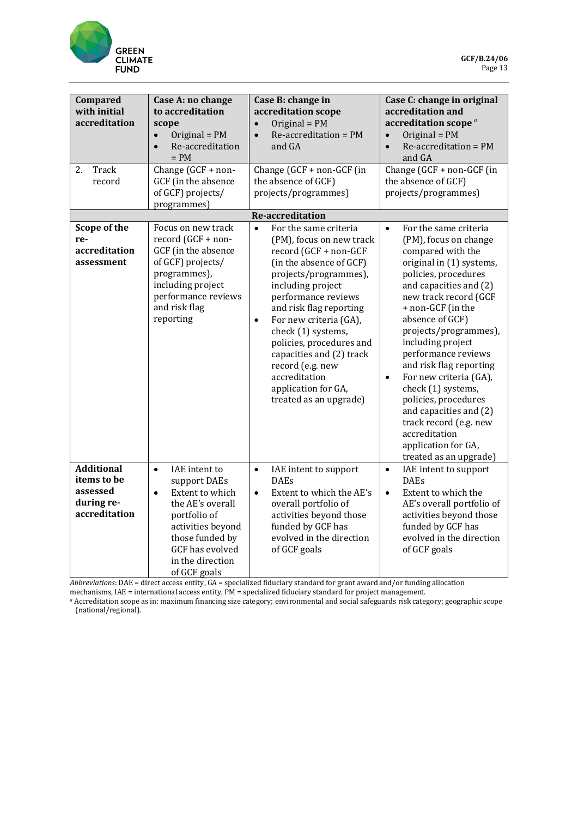

| Compared<br>with initial<br>accreditation<br>2.<br>Track                    | Case A: no change<br>to accreditation<br>scope<br>Original = PM<br>$\bullet$<br>Re-accreditation<br>$\bullet$<br>$= PM$<br>Change (GCF + non-                                                                        | Case B: change in<br>accreditation scope<br>Original = $PM$<br>$\bullet$<br>Re-accreditation = PM<br>$\bullet$<br>and GA<br>Change $(GCF + non-GCF)$ (in                                                                                                                                                                                                                                                                      | Case C: change in original<br>accreditation and<br>accreditation scope <sup>a</sup><br>Original = $PM$<br>$\bullet$<br>Re-accreditation = PM<br>$\bullet$<br>and GA<br>Change (GCF + non-GCF (in                                                                                                                                                                                                                                                                                                                                           |
|-----------------------------------------------------------------------------|----------------------------------------------------------------------------------------------------------------------------------------------------------------------------------------------------------------------|-------------------------------------------------------------------------------------------------------------------------------------------------------------------------------------------------------------------------------------------------------------------------------------------------------------------------------------------------------------------------------------------------------------------------------|--------------------------------------------------------------------------------------------------------------------------------------------------------------------------------------------------------------------------------------------------------------------------------------------------------------------------------------------------------------------------------------------------------------------------------------------------------------------------------------------------------------------------------------------|
| record                                                                      | GCF (in the absence<br>of GCF) projects/<br>programmes)                                                                                                                                                              | the absence of GCF)<br>projects/programmes)                                                                                                                                                                                                                                                                                                                                                                                   | the absence of GCF)<br>projects/programmes)                                                                                                                                                                                                                                                                                                                                                                                                                                                                                                |
|                                                                             |                                                                                                                                                                                                                      | <b>Re-accreditation</b>                                                                                                                                                                                                                                                                                                                                                                                                       |                                                                                                                                                                                                                                                                                                                                                                                                                                                                                                                                            |
| Scope of the<br>re-<br>accreditation<br>assessment                          | Focus on new track<br>record (GCF + non-<br>GCF (in the absence<br>of GCF) projects/<br>programmes),<br>including project<br>performance reviews<br>and risk flag<br>reporting                                       | $\bullet$<br>For the same criteria<br>(PM), focus on new track<br>record (GCF + non-GCF<br>(in the absence of GCF)<br>projects/programmes),<br>including project<br>performance reviews<br>and risk flag reporting<br>For new criteria (GA),<br>$\bullet$<br>check (1) systems,<br>policies, procedures and<br>capacities and (2) track<br>record (e.g. new<br>accreditation<br>application for GA,<br>treated as an upgrade) | For the same criteria<br>$\bullet$<br>(PM), focus on change<br>compared with the<br>original in (1) systems,<br>policies, procedures<br>and capacities and (2)<br>new track record (GCF<br>+ non-GCF (in the<br>absence of GCF)<br>projects/programmes),<br>including project<br>performance reviews<br>and risk flag reporting<br>For new criteria (GA),<br>$\bullet$<br>check (1) systems,<br>policies, procedures<br>and capacities and (2)<br>track record (e.g. new<br>accreditation<br>application for GA,<br>treated as an upgrade) |
| <b>Additional</b><br>items to be<br>assessed<br>during re-<br>accreditation | IAE intent to<br>$\bullet$<br>support DAEs<br>Extent to which<br>$\bullet$<br>the AE's overall<br>portfolio of<br>activities beyond<br>those funded by<br><b>GCF</b> has evolved<br>in the direction<br>of GCF goals | IAE intent to support<br>$\bullet$<br><b>DAEs</b><br>Extent to which the AE's<br>$\bullet$<br>overall portfolio of<br>activities beyond those<br>funded by GCF has<br>evolved in the direction<br>of GCF goals                                                                                                                                                                                                                | IAE intent to support<br>$\bullet$<br><b>DAEs</b><br>Extent to which the<br>$\bullet$<br>AE's overall portfolio of<br>activities beyond those<br>funded by GCF has<br>evolved in the direction<br>of GCF goals                                                                                                                                                                                                                                                                                                                             |

*Abbreviations*: DAE = direct access entity, GA = specialized fiduciary standard for grant award and/or funding allocation mechanisms, IAE = international access entity, PM = specialized fiduciary standard for project management.

*<sup>a</sup>* Accreditation scope as in: maximum financing size category; environmental and social safeguards risk category; geographic scope (national/regional).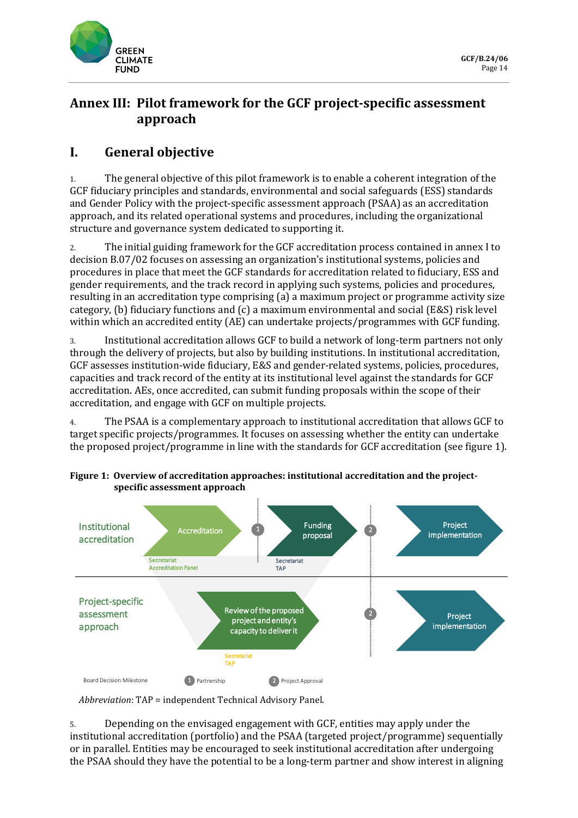

# **Annex III: Pilot framework for the GCF project-specific assessment approach**

# **I. General objective**

1. The general objective of this pilot framework is to enable a coherent integration of the GCF fiduciary principles and standards, environmental and social safeguards (ESS) standards and Gender Policy with the project-specific assessment approach (PSAA) as an accreditation approach, and its related operational systems and procedures, including the organizational structure and governance system dedicated to supporting it.

2. The initial guiding framework for the GCF accreditation process contained in annex I to decision B.07/02 focuses on assessing an organization's institutional systems, policies and procedures in place that meet the GCF standards for accreditation related to fiduciary, ESS and gender requirements, and the track record in applying such systems, policies and procedures, resulting in an accreditation type comprising (a) a maximum project or programme activity size category, (b) fiduciary functions and (c) a maximum environmental and social (E&S) risk level within which an accredited entity (AE) can undertake projects/programmes with GCF funding.

3. Institutional accreditation allows GCF to build a network of long-term partners not only through the delivery of projects, but also by building institutions. In institutional accreditation, GCF assesses institution-wide fiduciary, E&S and gender-related systems, policies, procedures, capacities and track record of the entity at its institutional level against the standards for GCF accreditation. AEs, once accredited, can submit funding proposals within the scope of their accreditation, and engage with GCF on multiple projects.

4. The PSAA is a complementary approach to institutional accreditation that allows GCF to target specific projects/programmes. It focuses on assessing whether the entity can undertake the proposed project/programme in line with the standards for GCF accreditation (see figure 1).



**Figure 1: Overview of accreditation approaches: institutional accreditation and the projectspecific assessment approach**

*Abbreviation*: TAP = independent Technical Advisory Panel.

5. Depending on the envisaged engagement with GCF, entities may apply under the institutional accreditation (portfolio) and the PSAA (targeted project/programme) sequentially or in parallel. Entities may be encouraged to seek institutional accreditation after undergoing the PSAA should they have the potential to be a long-term partner and show interest in aligning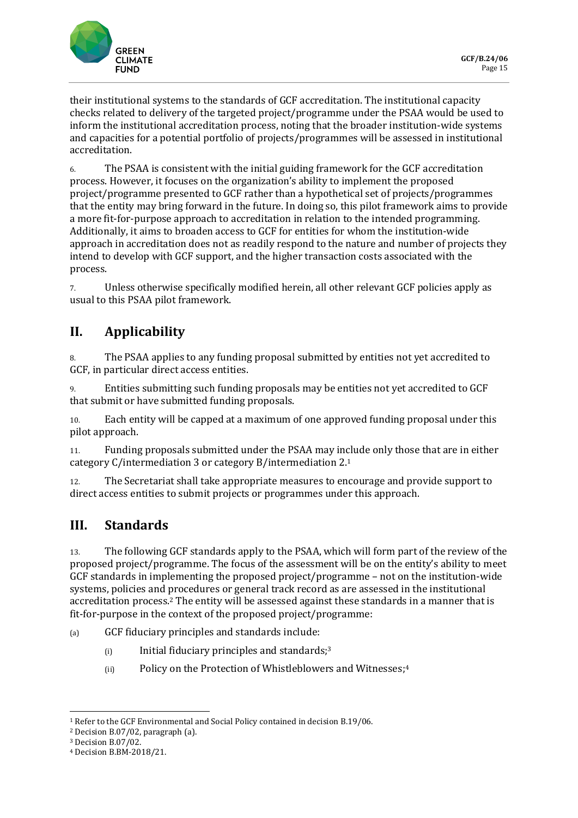

their institutional systems to the standards of GCF accreditation. The institutional capacity checks related to delivery of the targeted project/programme under the PSAA would be used to inform the institutional accreditation process, noting that the broader institution-wide systems and capacities for a potential portfolio of projects/programmes will be assessed in institutional accreditation.

6. The PSAA is consistent with the initial guiding framework for the GCF accreditation process. However, it focuses on the organization's ability to implement the proposed project/programme presented to GCF rather than a hypothetical set of projects/programmes that the entity may bring forward in the future. In doing so, this pilot framework aims to provide a more fit-for-purpose approach to accreditation in relation to the intended programming. Additionally, it aims to broaden access to GCF for entities for whom the institution-wide approach in accreditation does not as readily respond to the nature and number of projects they intend to develop with GCF support, and the higher transaction costs associated with the process.

7. Unless otherwise specifically modified herein, all other relevant GCF policies apply as usual to this PSAA pilot framework.

# **II. Applicability**

8. The PSAA applies to any funding proposal submitted by entities not yet accredited to GCF, in particular direct access entities.

9. Entities submitting such funding proposals may be entities not yet accredited to GCF that submit or have submitted funding proposals.

10. Each entity will be capped at a maximum of one approved funding proposal under this pilot approach.

11. Funding proposals submitted under the PSAA may include only those that are in either category C/intermediation 3 or category B/intermediation 2.<sup>1</sup>

12. The Secretariat shall take appropriate measures to encourage and provide support to direct access entities to submit projects or programmes under this approach.

## **III. Standards**

13. The following GCF standards apply to the PSAA, which will form part of the review of the proposed project/programme. The focus of the assessment will be on the entity's ability to meet GCF standards in implementing the proposed project/programme – not on the institution-wide systems, policies and procedures or general track record as are assessed in the institutional accreditation process. <sup>2</sup> The entity will be assessed against these standards in a manner that is fit-for-purpose in the context of the proposed project/programme:

(a) GCF fiduciary principles and standards include:

- (i) Initial fiduciary principles and standards;<sup>3</sup>
- (ii) Policy on the Protection of Whistleblowers and Witnesses; 4

<sup>1</sup> Refer to the GCF Environmental and Social Policy contained in decision B.19/06.

<sup>2</sup> Decision B.07/02, paragraph (a).

<sup>3</sup> Decision B.07/02.

<sup>4</sup> Decision B.BM-2018/21.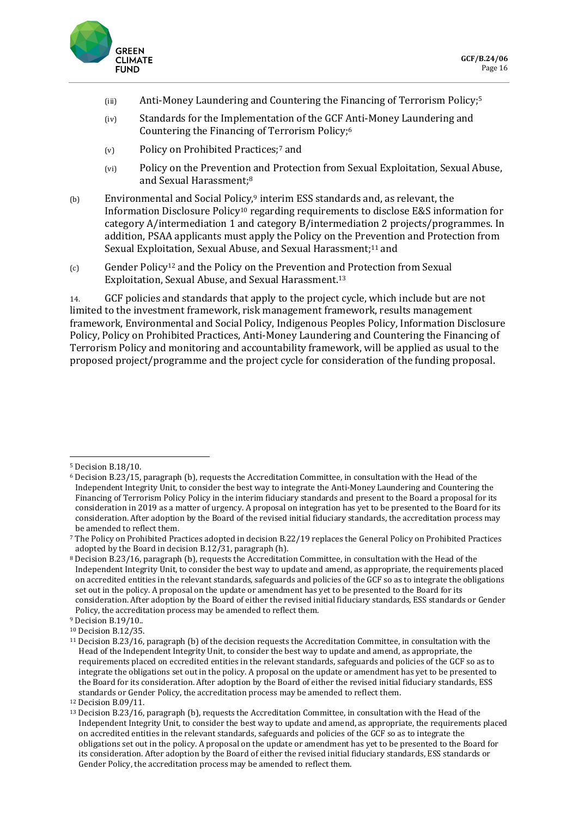

- (iii) Anti-Money Laundering and Countering the Financing of Terrorism Policy; 5
- (iv) Standards for the Implementation of the GCF Anti-Money Laundering and Countering the Financing of Terrorism Policy; 6
- (v) Policy on Prohibited Practices;<sup>7</sup> and
- (vi) Policy on the Prevention and Protection from Sexual Exploitation, Sexual Abuse, and Sexual Harassment; 8
- (b) Environmental and Social Policy,<sup>9</sup> interim ESS standards and, as relevant, the Information Disclosure Policy<sup>10</sup> regarding requirements to disclose E&S information for category A/intermediation 1 and category B/intermediation 2 projects/programmes. In addition, PSAA applicants must apply the Policy on the Prevention and Protection from Sexual Exploitation, Sexual Abuse, and Sexual Harassment; <sup>11</sup> and
- (c) Gender Policy<sup>12</sup> and the Policy on the Prevention and Protection from Sexual Exploitation, Sexual Abuse, and Sexual Harassment.<sup>13</sup>

14. GCF policies and standards that apply to the project cycle, which include but are not limited to the investment framework, risk management framework, results management framework, Environmental and Social Policy, Indigenous Peoples Policy, Information Disclosure Policy, Policy on Prohibited Practices, Anti-Money Laundering and Countering the Financing of Terrorism Policy and monitoring and accountability framework, will be applied as usual to the proposed project/programme and the project cycle for consideration of the funding proposal.

<sup>5</sup> Decision B.18/10.

<sup>6</sup> Decision B.23/15, paragraph (b), requests the Accreditation Committee, in consultation with the Head of the Independent Integrity Unit, to consider the best way to integrate the Anti-Money Laundering and Countering the Financing of Terrorism Policy Policy in the interim fiduciary standards and present to the Board a proposal for its consideration in 2019 as a matter of urgency. A proposal on integration has yet to be presented to the Board for its consideration. After adoption by the Board of the revised initial fiduciary standards, the accreditation process may be amended to reflect them.

<sup>7</sup> The Policy on Prohibited Practices adopted in decision B.22/19 replaces the General Policy on Prohibited Practices adopted by the Board in decision B.12/31, paragraph (h).

<sup>8</sup> Decision B.23/16, paragraph (b), requests the Accreditation Committee, in consultation with the Head of the Independent Integrity Unit, to consider the best way to update and amend, as appropriate, the requirements placed on accredited entities in the relevant standards, safeguards and policies of the GCF so as to integrate the obligations set out in the policy. A proposal on the update or amendment has yet to be presented to the Board for its consideration. After adoption by the Board of either the revised initial fiduciary standards, ESS standards or Gender Policy, the accreditation process may be amended to reflect them.

<sup>9</sup> Decision B.19/10..

<sup>10</sup> Decision B.12/35.

<sup>11</sup> Decision B.23/16, paragraph (b) of the decision requests the Accreditation Committee, in consultation with the Head of the Independent Integrity Unit, to consider the best way to update and amend, as appropriate, the requirements placed on eccredited entities in the relevant standards, safeguards and policies of the GCF so as to integrate the obligations set out in the policy. A proposal on the update or amendment has yet to be presented to the Board for its consideration. After adoption by the Board of either the revised initial fiduciary standards, ESS standards or Gender Policy, the accreditation process may be amended to reflect them.

<sup>12</sup> Decision B.09/11.

<sup>13</sup> Decision B.23/16, paragraph (b), requests the Accreditation Committee, in consultation with the Head of the Independent Integrity Unit, to consider the best way to update and amend, as appropriate, the requirements placed on accredited entities in the relevant standards, safeguards and policies of the GCF so as to integrate the obligations set out in the policy. A proposal on the update or amendment has yet to be presented to the Board for its consideration. After adoption by the Board of either the revised initial fiduciary standards, ESS standards or Gender Policy, the accreditation process may be amended to reflect them.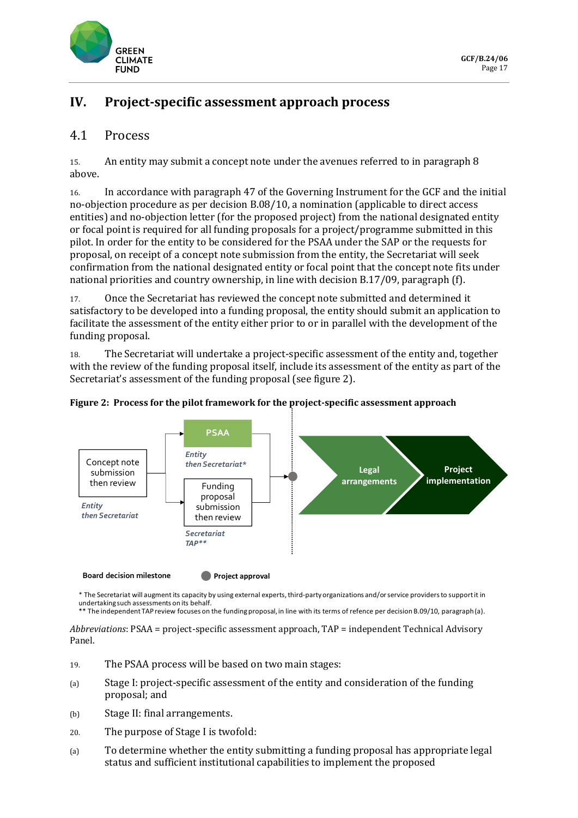

# **IV. Project-specific assessment approach process**

### 4.1 Process

15. An entity may submit a concept note under the avenues referred to in paragraph 8 above.

16. In accordance with paragraph 47 of the Governing Instrument for the GCF and the initial no-objection procedure as per decision B.08/10, a nomination (applicable to direct access entities) and no-objection letter (for the proposed project) from the national designated entity or focal point is required for all funding proposals for a project/programme submitted in this pilot. In order for the entity to be considered for the PSAA under the SAP or the requests for proposal, on receipt of a concept note submission from the entity, the Secretariat will seek confirmation from the national designated entity or focal point that the concept note fits under national priorities and country ownership, in line with decision B.17/09, paragraph (f).

17. Once the Secretariat has reviewed the concept note submitted and determined it satisfactory to be developed into a funding proposal, the entity should submit an application to facilitate the assessment of the entity either prior to or in parallel with the development of the funding proposal.

18. The Secretariat will undertake a project-specific assessment of the entity and, together with the review of the funding proposal itself, include its assessment of the entity as part of the Secretariat's assessment of the funding proposal (see figure 2).





\* The Secretariat will augment its capacity by using external experts, third-party organizations and/or service providers to support it in

undertaking such assessments on its behalf.<br>\*\* The independent TAP review focuses on the funding proposal, in line with its terms of refence per decision B.09/10, paragraph (a).

*Abbreviations*: PSAA = project-specific assessment approach, TAP = independent Technical Advisory Panel.

- 19. The PSAA process will be based on two main stages:
- (a) Stage I: project-specific assessment of the entity and consideration of the funding proposal; and
- (b) Stage II: final arrangements.
- 20. The purpose of Stage I is twofold:
- (a) To determine whether the entity submitting a funding proposal has appropriate legal status and sufficient institutional capabilities to implement the proposed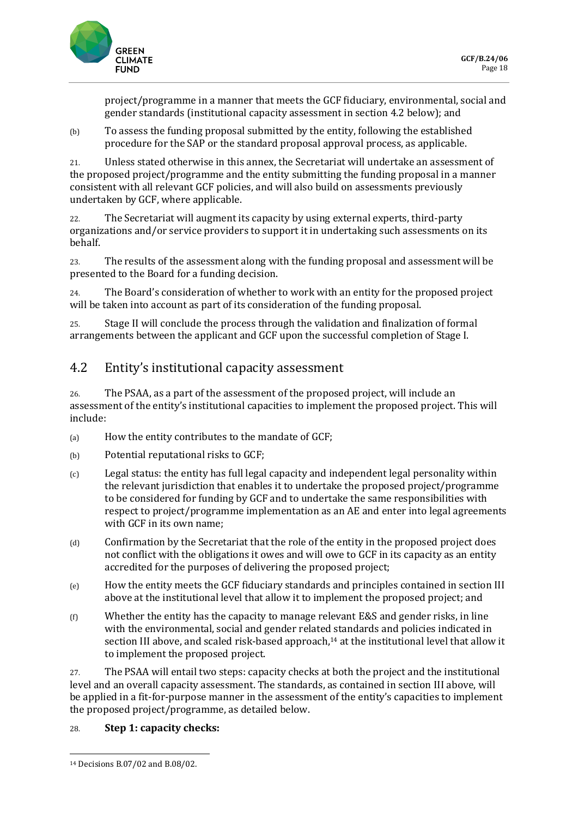

project/programme in a manner that meets the GCF fiduciary, environmental, social and gender standards (institutional capacity assessment in section 4.2 below); and

(b) To assess the funding proposal submitted by the entity, following the established procedure for the SAP or the standard proposal approval process, as applicable.

21. Unless stated otherwise in this annex, the Secretariat will undertake an assessment of the proposed project/programme and the entity submitting the funding proposal in a manner consistent with all relevant GCF policies, and will also build on assessments previously undertaken by GCF, where applicable.

22. The Secretariat will augment its capacity by using external experts, third-party organizations and/or service providers to support it in undertaking such assessments on its behalf.

23. The results of the assessment along with the funding proposal and assessment will be presented to the Board for a funding decision.

24. The Board's consideration of whether to work with an entity for the proposed project will be taken into account as part of its consideration of the funding proposal.

25. Stage II will conclude the process through the validation and finalization of formal arrangements between the applicant and GCF upon the successful completion of Stage I.

### 4.2 Entity's institutional capacity assessment

26. The PSAA, as a part of the assessment of the proposed project, will include an assessment of the entity's institutional capacities to implement the proposed project. This will include:

- (a) How the entity contributes to the mandate of GCF;
- (b) Potential reputational risks to GCF;
- (c) Legal status: the entity has full legal capacity and independent legal personality within the relevant jurisdiction that enables it to undertake the proposed project/programme to be considered for funding by GCF and to undertake the same responsibilities with respect to project/programme implementation as an AE and enter into legal agreements with GCF in its own name;
- (d) Confirmation by the Secretariat that the role of the entity in the proposed project does not conflict with the obligations it owes and will owe to GCF in its capacity as an entity accredited for the purposes of delivering the proposed project;
- (e) How the entity meets the GCF fiduciary standards and principles contained in section III above at the institutional level that allow it to implement the proposed project; and
- $(f)$  Whether the entity has the capacity to manage relevant E&S and gender risks, in line with the environmental, social and gender related standards and policies indicated in section III above, and scaled risk-based approach,<sup>14</sup> at the institutional level that allow it to implement the proposed project.

27. The PSAA will entail two steps: capacity checks at both the project and the institutional level and an overall capacity assessment. The standards, as contained in section III above, will be applied in a fit-for-purpose manner in the assessment of the entity's capacities to implement the proposed project/programme, as detailed below.

#### 28. **Step 1: capacity checks:**

<sup>14</sup> Decisions B.07/02 and B.08/02.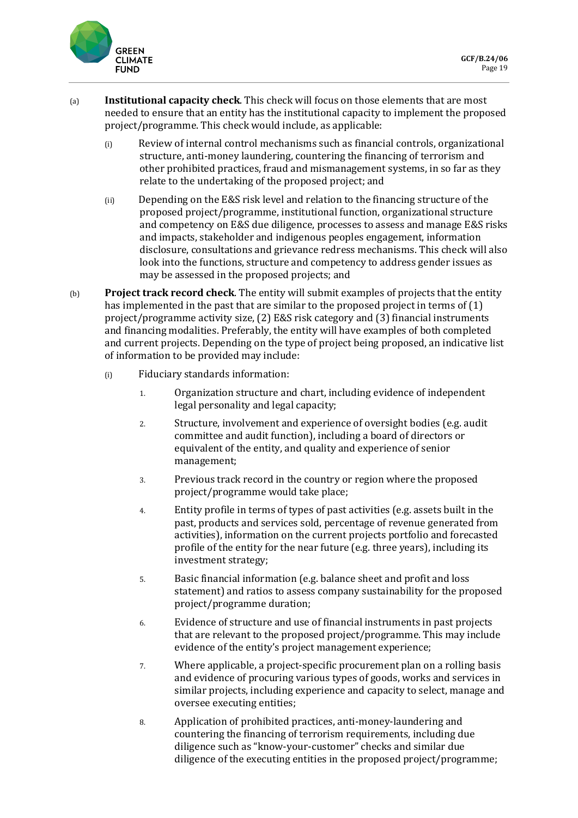

- (a) **Institutional capacity check**. This check will focus on those elements that are most needed to ensure that an entity has the institutional capacity to implement the proposed project/programme. This check would include, as applicable:
	- (i) Review of internal control mechanisms such as financial controls, organizational structure, anti-money laundering, countering the financing of terrorism and other prohibited practices, fraud and mismanagement systems, in so far as they relate to the undertaking of the proposed project; and
	- (ii) Depending on the E&S risk level and relation to the financing structure of the proposed project/programme, institutional function, organizational structure and competency on E&S due diligence, processes to assess and manage E&S risks and impacts, stakeholder and indigenous peoples engagement, information disclosure, consultations and grievance redress mechanisms. This check will also look into the functions, structure and competency to address gender issues as may be assessed in the proposed projects; and
- (b) **Project track record check**. The entity will submit examples of projects that the entity has implemented in the past that are similar to the proposed project in terms of (1) project/programme activity size, (2) E&S risk category and (3) financial instruments and financing modalities. Preferably, the entity will have examples of both completed and current projects. Depending on the type of project being proposed, an indicative list of information to be provided may include:
	- (i) Fiduciary standards information:
		- 1. Organization structure and chart, including evidence of independent legal personality and legal capacity;
		- 2. Structure, involvement and experience of oversight bodies (e.g. audit committee and audit function), including a board of directors or equivalent of the entity, and quality and experience of senior management;
		- 3. Previous track record in the country or region where the proposed project/programme would take place;
		- 4. Entity profile in terms of types of past activities (e.g. assets built in the past, products and services sold, percentage of revenue generated from activities), information on the current projects portfolio and forecasted profile of the entity for the near future (e.g. three years), including its investment strategy;
		- 5. Basic financial information (e.g. balance sheet and profit and loss statement) and ratios to assess company sustainability for the proposed project/programme duration;
		- 6. Evidence of structure and use of financial instruments in past projects that are relevant to the proposed project/programme. This may include evidence of the entity's project management experience;
		- 7. Where applicable, a project-specific procurement plan on a rolling basis and evidence of procuring various types of goods, works and services in similar projects, including experience and capacity to select, manage and oversee executing entities;
		- 8. Application of prohibited practices, anti-money-laundering and countering the financing of terrorism requirements, including due diligence such as "know-your-customer" checks and similar due diligence of the executing entities in the proposed project/programme;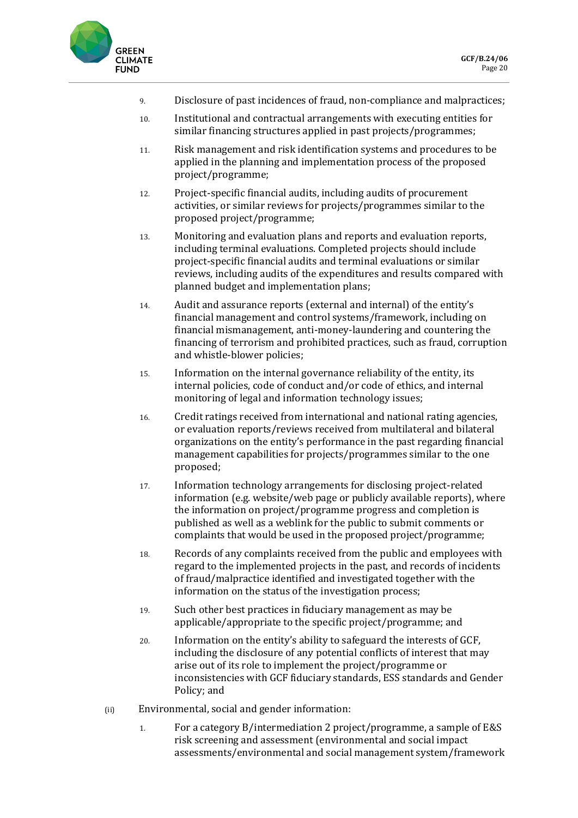

- 9. Disclosure of past incidences of fraud, non-compliance and malpractices;
- 10. Institutional and contractual arrangements with executing entities for similar financing structures applied in past projects/programmes;
- 11. Risk management and risk identification systems and procedures to be applied in the planning and implementation process of the proposed project/programme;
- 12. Project-specific financial audits, including audits of procurement activities, or similar reviews for projects/programmes similar to the proposed project/programme;
- 13. Monitoring and evaluation plans and reports and evaluation reports, including terminal evaluations. Completed projects should include project-specific financial audits and terminal evaluations or similar reviews, including audits of the expenditures and results compared with planned budget and implementation plans;
- 14. Audit and assurance reports (external and internal) of the entity's financial management and control systems/framework, including on financial mismanagement, anti-money-laundering and countering the financing of terrorism and prohibited practices, such as fraud, corruption and whistle-blower policies;
- 15. Information on the internal governance reliability of the entity, its internal policies, code of conduct and/or code of ethics, and internal monitoring of legal and information technology issues;
- 16. Credit ratings received from international and national rating agencies, or evaluation reports/reviews received from multilateral and bilateral organizations on the entity's performance in the past regarding financial management capabilities for projects/programmes similar to the one proposed;
- 17. Information technology arrangements for disclosing project-related information (e.g. website/web page or publicly available reports), where the information on project/programme progress and completion is published as well as a weblink for the public to submit comments or complaints that would be used in the proposed project/programme;
- 18. Records of any complaints received from the public and employees with regard to the implemented projects in the past, and records of incidents of fraud/malpractice identified and investigated together with the information on the status of the investigation process;
- 19. Such other best practices in fiduciary management as may be applicable/appropriate to the specific project/programme; and
- 20. Information on the entity's ability to safeguard the interests of GCF, including the disclosure of any potential conflicts of interest that may arise out of its role to implement the project/programme or inconsistencies with GCF fiduciary standards, ESS standards and Gender Policy; and
- (ii) Environmental, social and gender information:
	- 1. For a category B/intermediation 2 project/programme, a sample of E&S risk screening and assessment (environmental and social impact assessments/environmental and social management system/framework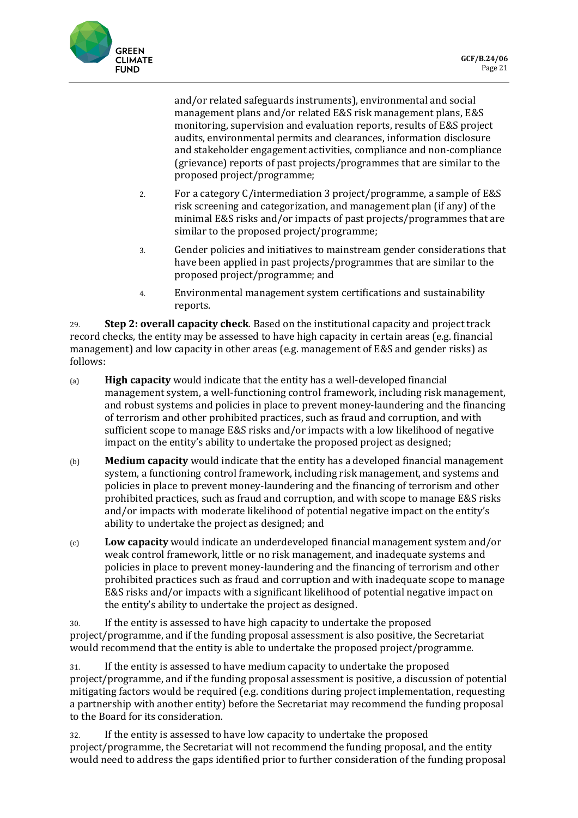and/or related safeguards instruments), environmental and social management plans and/or related E&S risk management plans, E&S monitoring, supervision and evaluation reports, results of E&S project audits, environmental permits and clearances, information disclosure and stakeholder engagement activities, compliance and non-compliance (grievance) reports of past projects/programmes that are similar to the proposed project/programme;

- 2. For a category C/intermediation 3 project/programme, a sample of E&S risk screening and categorization, and management plan (if any) of the minimal E&S risks and/or impacts of past projects/programmes that are similar to the proposed project/programme;
- 3. Gender policies and initiatives to mainstream gender considerations that have been applied in past projects/programmes that are similar to the proposed project/programme; and
- 4. Environmental management system certifications and sustainability reports.

29. **Step 2: overall capacity check**. Based on the institutional capacity and project track record checks, the entity may be assessed to have high capacity in certain areas (e.g. financial management) and low capacity in other areas (e.g. management of E&S and gender risks) as follows:

- (a) **High capacity** would indicate that the entity has a well-developed financial management system, a well-functioning control framework, including risk management, and robust systems and policies in place to prevent money-laundering and the financing of terrorism and other prohibited practices, such as fraud and corruption, and with sufficient scope to manage E&S risks and/or impacts with a low likelihood of negative impact on the entity's ability to undertake the proposed project as designed;
- (b) **Medium capacity** would indicate that the entity has a developed financial management system, a functioning control framework, including risk management, and systems and policies in place to prevent money-laundering and the financing of terrorism and other prohibited practices, such as fraud and corruption, and with scope to manage E&S risks and/or impacts with moderate likelihood of potential negative impact on the entity's ability to undertake the project as designed; and
- (c) **Low capacity** would indicate an underdeveloped financial management system and/or weak control framework, little or no risk management, and inadequate systems and policies in place to prevent money-laundering and the financing of terrorism and other prohibited practices such as fraud and corruption and with inadequate scope to manage E&S risks and/or impacts with a significant likelihood of potential negative impact on the entity's ability to undertake the project as designed.

30. If the entity is assessed to have high capacity to undertake the proposed project/programme, and if the funding proposal assessment is also positive, the Secretariat would recommend that the entity is able to undertake the proposed project/programme.

31. If the entity is assessed to have medium capacity to undertake the proposed project/programme, and if the funding proposal assessment is positive, a discussion of potential mitigating factors would be required (e.g. conditions during project implementation, requesting a partnership with another entity) before the Secretariat may recommend the funding proposal to the Board for its consideration.

32. If the entity is assessed to have low capacity to undertake the proposed project/programme, the Secretariat will not recommend the funding proposal, and the entity would need to address the gaps identified prior to further consideration of the funding proposal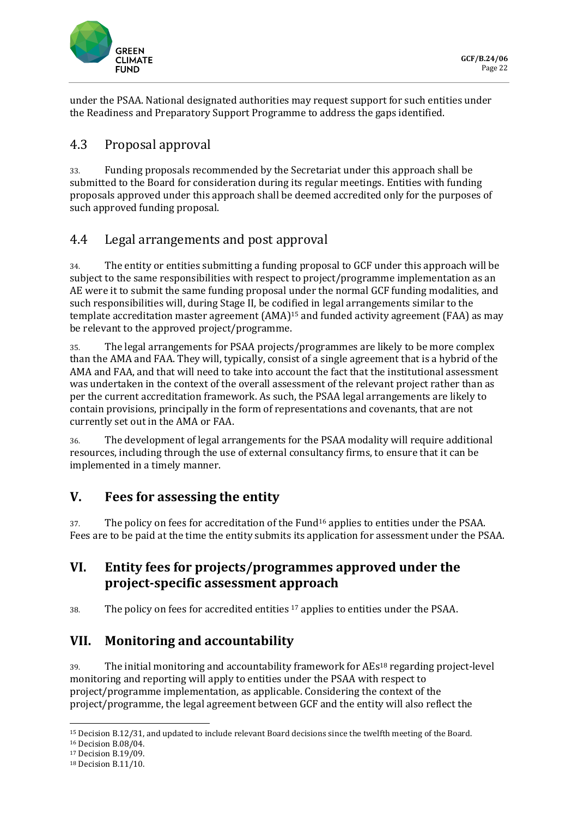

under the PSAA. National designated authorities may request support for such entities under the Readiness and Preparatory Support Programme to address the gaps identified.

### 4.3 Proposal approval

33. Funding proposals recommended by the Secretariat under this approach shall be submitted to the Board for consideration during its regular meetings. Entities with funding proposals approved under this approach shall be deemed accredited only for the purposes of such approved funding proposal.

### 4.4 Legal arrangements and post approval

34. The entity or entities submitting a funding proposal to GCF under this approach will be subject to the same responsibilities with respect to project/programme implementation as an AE were it to submit the same funding proposal under the normal GCF funding modalities, and such responsibilities will, during Stage II, be codified in legal arrangements similar to the template accreditation master agreement (AMA) <sup>15</sup> and funded activity agreement (FAA) as may be relevant to the approved project/programme.

35. The legal arrangements for PSAA projects/programmes are likely to be more complex than the AMA and FAA. They will, typically, consist of a single agreement that is a hybrid of the AMA and FAA, and that will need to take into account the fact that the institutional assessment was undertaken in the context of the overall assessment of the relevant project rather than as per the current accreditation framework. As such, the PSAA legal arrangements are likely to contain provisions, principally in the form of representations and covenants, that are not currently set out in the AMA or FAA.

36. The development of legal arrangements for the PSAA modality will require additional resources, including through the use of external consultancy firms, to ensure that it can be implemented in a timely manner.

## **V. Fees for assessing the entity**

37. The policy on fees for accreditation of the Fund<sup>16</sup> applies to entities under the PSAA. Fees are to be paid at the time the entity submits its application for assessment under the PSAA.

### **VI. Entity fees for projects/programmes approved under the project-specific assessment approach**

38. The policy on fees for accredited entities <sup>17</sup> applies to entities under the PSAA.

### **VII. Monitoring and accountability**

39. The initial monitoring and accountability framework for AEs<sup>18</sup> regarding project-level monitoring and reporting will apply to entities under the PSAA with respect to project/programme implementation, as applicable. Considering the context of the project/programme, the legal agreement between GCF and the entity will also reflect the

<sup>15</sup> Decision B.12/31, and updated to include relevant Board decisions since the twelfth meeting of the Board.

<sup>16</sup> Decision B.08/04.

<sup>17</sup> Decision B.19/09.

<sup>18</sup> Decision B.11/10.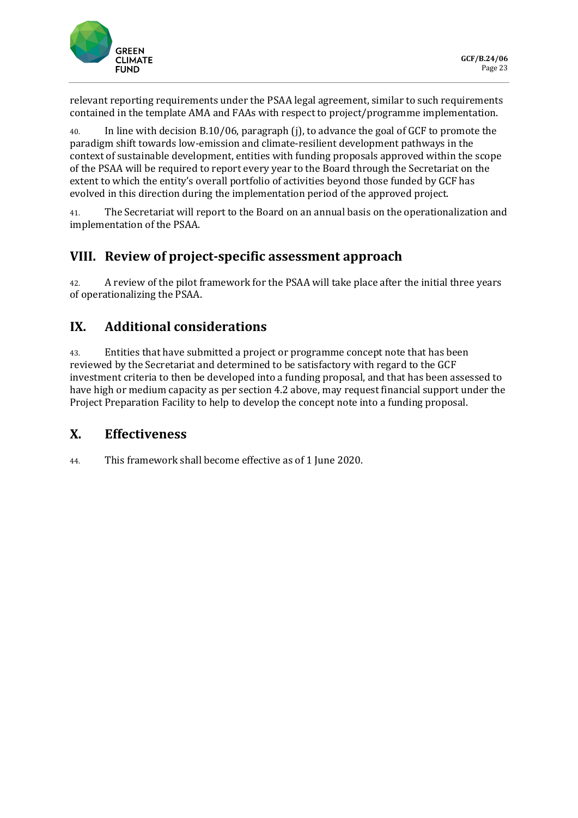

relevant reporting requirements under the PSAA legal agreement, similar to such requirements contained in the template AMA and FAAs with respect to project/programme implementation.

40. In line with decision B.10/06, paragraph (j), to advance the goal of GCF to promote the paradigm shift towards low-emission and climate-resilient development pathways in the context of sustainable development, entities with funding proposals approved within the scope of the PSAA will be required to report every year to the Board through the Secretariat on the extent to which the entity's overall portfolio of activities beyond those funded by GCF has evolved in this direction during the implementation period of the approved project.

41. The Secretariat will report to the Board on an annual basis on the operationalization and implementation of the PSAA.

### **VIII. Review of project-specific assessment approach**

42. A review of the pilot framework for the PSAA will take place after the initial three years of operationalizing the PSAA.

### **IX. Additional considerations**

43. Entities that have submitted a project or programme concept note that has been reviewed by the Secretariat and determined to be satisfactory with regard to the GCF investment criteria to then be developed into a funding proposal, and that has been assessed to have high or medium capacity as per section 4.2 above, may request financial support under the Project Preparation Facility to help to develop the concept note into a funding proposal.

### **X. Effectiveness**

44. This framework shall become effective as of 1 June 2020.